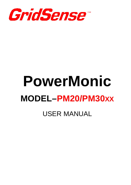

# **PowerMonic MODEL–PM20/PM30XX** USER MANUAL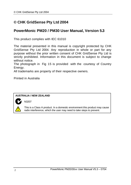## **© CHK GridSense Pty Ltd 2004**

## **PowerMonic PM20 / PM30 User Manual, Version 5.3**

This product complies with IEC 61010

The material presented in this manual is copyright protected by CHK GridSense Pty Ltd 2004. Any reproduction in whole or part for any purpose without the prior written consent of CHK GridSense Pty Ltd is strictly prohibited. Information in this document is subject to change without notice.

The photograph in Fig 15 is provided with the courtesy of Country Energy.

All trademarks are property of their respective owners.

Printed in Australia

N3207

#### **AUSTRALIA / NEW ZEALAND**



This is a Class A product. In a domestic environment this product may cause radio interference, which the user may need to take steps to prevent.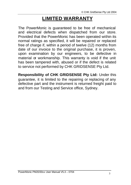# **LIMITED WARRANTY**

The PowerMonic is guaranteed to be free of mechanical and electrical defects when dispatched from our store. Provided that the PowerMonic has been operated within its normal ratings as specified, it will be repaired or replaced free of charge if, within a period of twelve (12) months from date of our invoice to the original purchase, it is proven, upon examination by our engineers, to be defective in material or workmanship. This warranty is void if the unit has been tampered with, abused or if the defect is related to service not performed by CHK GRIDSENSE Pty Ltd.

**Responsibility of CHK GRIDSENSE Pty Ltd:** Under this guarantee, it is limited to the repairing or replacing of any defective part and the instrument is returned freight paid to and from our Testing and Service office, Sydney.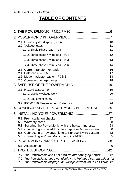## **TABLE OF CONTENTS**

| 2.1. Liquid crystal display (LCD)<br>2.2. Voltage leads<br>2.2.1. Single Phase lead-PC4                                                                                                                    | 10<br>11<br>11 |
|------------------------------------------------------------------------------------------------------------------------------------------------------------------------------------------------------------|----------------|
| 2.2.2. Three phase 4-wire lead - VL4                                                                                                                                                                       | 12             |
|                                                                                                                                                                                                            |                |
| 2.2.3. Three phase 3-wire lead - VL3                                                                                                                                                                       | 13             |
| 2.2.4. Three phase 6-wire lead - VL6                                                                                                                                                                       | 14             |
| 2.3. Current transformer leads<br>2.4. Data cable - RC2                                                                                                                                                    | 16<br>17       |
| 2.5. Modem adaptor cable - PCM1                                                                                                                                                                            | 18             |
| 2.6. Operating voltage range                                                                                                                                                                               | 18             |
|                                                                                                                                                                                                            |                |
| 3.1. Hazard assessment                                                                                                                                                                                     | 19             |
| 3.1.1. Live low voltage work                                                                                                                                                                               | 20             |
| 3.1.2. Equipment safety                                                                                                                                                                                    | 21             |
| 3.2. IEC 61010 Measurement Category                                                                                                                                                                        | 24             |
| 4. CONFIGURING THE POWERMONIC BEFORE USE 25                                                                                                                                                                |                |
|                                                                                                                                                                                                            |                |
| 5.1. Pre-installation checks                                                                                                                                                                               | 27             |
| 5.2. Warranty cards                                                                                                                                                                                        | 28             |
| 5.3. Securing the PowerMonic with the holster and strap<br>5.4. Connecting a PowerMonic to a 3-phase 4-wire system                                                                                         | 28<br>30       |
| 5.5. Connecting a PowerMonic to a 3-phase 3-wire system                                                                                                                                                    | 32             |
| 5.6. Connecting a PowerMonic using CK1/CK5                                                                                                                                                                 | 35             |
| 6. POWERMONIC PM20/30 SPECIFICATIONS 38                                                                                                                                                                    |                |
| 6.1. Accessories                                                                                                                                                                                           | 40             |
|                                                                                                                                                                                                            |                |
| 7.1. The PowerMonic does not start up after applying power:<br>7.2. The PowerMonic does not display the Voltage / current values:42<br>7.3. The PowerMonic displays the voltage/current values as zero: 42 | 42             |
|                                                                                                                                                                                                            |                |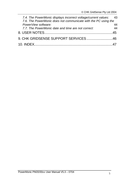| 7.4. The PowerMonic displays incorrect voltage/current values: 43 |     |
|-------------------------------------------------------------------|-----|
| 7.6. The PowerMonic does not communicate with the PC using the    |     |
| PowerView software:                                               | 44  |
| 7.7. The PowerMonic date and time are not correct:                | 44  |
|                                                                   | -45 |
| 9. CHK GRIDSENSE SUPPORT SERVICES46                               |     |
|                                                                   |     |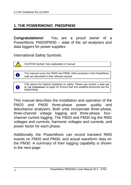## **1. THE POWERMONIC PM20/PM30**

**Congratulations!** You are a proud owner of a PowerMonic PM20/PM30 – state of the art analysers and data loggers for power supplies.

International Safety Symbols:



n

A

CAUTION Symbol: See explanation in manual

This manual covers the PM20 and PM30. Other products in the PowerMonic suite are described in their relevant manual.

CHK places the highest emphasis on safety. Please see section **3. SAFE USE OF THE POWERMONIC** on page 19. Ensure that only qualified personnel use the PM20/PM30.

This manual describes the installation and operation of the PM20 *and* PM30 three-phase power quality and disturbance analysers. Both units incorporate three-phase, three-channel voltage logging and three-phase, fourchannel current logging. The PM20 and PM30 log the RMS voltages and currents, harmonic voltages and currents, and power factor for each phase.

Additionally, the PowerMonic can record transient RMS events on PM20 and PM30, and actual waveform data on the PM30. A summary of their logging capability is shown in the next page: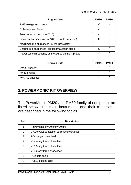| <b>Logged Data</b>                                  |  | <b>PM30</b> |
|-----------------------------------------------------|--|-------------|
| RMS voltage and current                             |  |             |
| 3 phase power factor                                |  |             |
| Total harmonic distortion (THD)                     |  |             |
| Individual harmonics up to 2400 Hz (48th harmonic)  |  |             |
| Medium term disturbances (10 ms RMS data)           |  |             |
| Short term disturbances (digitised waveform signal) |  |             |
| Power system frequency as measured on the A phase   |  |             |

| <b>Derived Data</b> | <b>PM20</b> | <b>PM30</b> |
|---------------------|-------------|-------------|
| kVA (3 phases)      |             |             |
| kW (3 phases)       |             |             |
| kVAR (3 phases)     |             |             |

## **2. POWERMONIC KIT OVERVIEW**

The PowerMonic PM20 and PM30 family of equipment are listed below. The main instruments and their accessories are described in the following topics.

| <b>Item</b> | <b>Description</b>                          |  |
|-------------|---------------------------------------------|--|
| 1           | PowerMonic PM20 or PM30 unit                |  |
| 2           | CK1 or CK5 substation current converter kit |  |
| 3           | PC4 single phase lead                       |  |
| 4           | VL4 4-way three phase lead                  |  |
| 5           | VL3 3-way three phase lead                  |  |
| 6           | VL6 6-way three phase lead                  |  |
| 6           | RC2 data cable                              |  |
| 8           | PCM1 modem cable                            |  |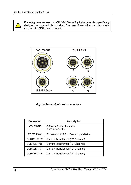

For safety reasons, use only CHK GridSense Pty Ltd accessories specifically designed for use with this product. The use of any other manufacturer's equipment is NOT recommended.



*Fig 1 – PowerMonic end connectors*

| <b>Connector</b>   | <b>Description</b>                             |  |
|--------------------|------------------------------------------------|--|
| <b>VOLTAGE</b>     | 3 Phase 6 wire plus earth<br>CAT III 440 Volts |  |
| RS232 Data         | Connection to PC or Serial input device        |  |
| <b>CURRENT "A"</b> | Current Transformer ("A" Channel)              |  |
| CURRENT "B"        | Current Transformer ("B" Channel)              |  |
| CURRENT "C"        | Current Transformer ("C" Channel)              |  |
| CURRENT "N"        | Current Transformer ("N" Channel)              |  |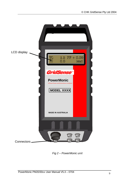

*Fig 2 – PowerMonic unit*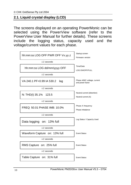## **2.1. Liquid crystal display (LCD)**

The screens displayed on an operating PowerMonic can be selected using the PowerView software (refer to the PowerView User Manual for further details). These screens include the logging status, capacity used and the voltage/current values for each phase.

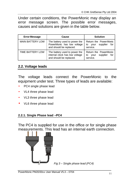Under certain conditions, the PowerMonic may display an error message screen. The possible error messages, causes and solutions are given in the table below.

| <b>Error Message</b>    | Cause                                                                                      | <b>Solution</b>                                                    |
|-------------------------|--------------------------------------------------------------------------------------------|--------------------------------------------------------------------|
| <b>MAIN BATTERY LOW</b> | The battery used to power the<br>PowerMonic has low voltage<br>and should be replaced.     | Return the PowerMonic<br>supplier<br>for<br>to<br>your<br>service. |
| TIME BATTERY LOW        | The battery used to power the<br>internal clock has low voltage<br>and should be replaced. | Return the PowerMonic<br>supplier<br>for<br>your<br>to<br>service. |

## **2.2. Voltage leads**

The voltage leads connect the PowerMonic to the equipment under test. Three types of leads are available:

- PC4 single phase lead
- VL4 three phase lead
- VL3 three phase lead
- VL6 three phase lead

#### **2.2.1. Single Phase lead –PC4**

The PC4 is supplied for use in the office or for single phase measurements. This lead has an internal earth connection.

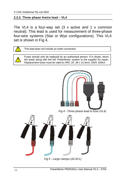#### **2.2.2. Three phase 4-wire lead – VL4**

The VL4 is a four-way set  $(3 \times \text{active and } 1 \times \text{common})$ neutral). This lead is used for measurement of three-phase four-wire systems (Star or Wye configurations). This VL4 set is shown in Fig 4.



Fuses should only be replaced by an authorised person. If in doubt, return the leads along with the full PowerMonic system to the supplier for repair. Replacement fuses must be rated to HRC 2A, 38 x 10.3mm, 500V 100kA.



*Fig 4 - Three phase lead to fuse (VL4)*



*Fig 5 - Large clamps (AC4CL)*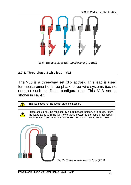

*Fig 6 - Banana plugs with small clamp (AC4BC)*

#### **2.2.3. Three phase 3-wire lead – VL3**

The VL3 is a three-way set (3 x active). This lead is used for measurement of three-phase three-wire systems (i.e. no neutral) such as Delta configurations. This VL3 set is shown in Fig 47.



Fuses should only be replaced by an authorised person. If in doubt, return the leads along with the full PowerMonic system to the supplier for repair. Replacement fuses must be rated to HRC 2A, 38 x 10.3mm, 500V 100kA.



*Fig 7 - Three phase lead to fuse (VL3)*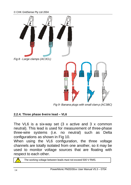

*Fig 9- Banana plugs with small clam p (AC3BC)*

#### **2.2.4. Three phase 6-wire lead – VL6**

The VL6 is a six-way set (3 x active and 3 x common neutral). This lead is used for measurement of three-phase three-wire systems (i.e. no neutral) such as Delta configurations as shown in Fig 10.

When using the VL6 configuration, the three voltage channels are totally isolated from one another, so it may be used to monitor voltage sources that are floating with respect to each other.



The working voltage between leads must not exceed 500 V RMS.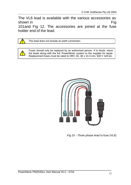The VL6 lead is available with the various accessories as shown in Fig. 2.1 The Fig. 2.1 The Fig. 2.1 The Fig. 2.1 The Fig. 2.1 The Fig. 2.1 The Fig. 2.1 The Fig. 2.1 The Fig. 2.1 The Fig. 2.1 The Fig. 2.1 The Fig. 2.1 The Fig. 2.1 The Fig. 2.1 The Fig. 2.1 The Fig. 2.1 The Fig.

101and Fig 12. The accessories are joined at the fuse holder end of the lead.

This lead does not include an earth connection.

Fuses should only be replaced by an authorised person. If in doubt, return the leads along with the full PowerMonic system to the supplier for repair. Replacement fuses must be rated to HRC 2A, 38 x 10.3 mm, 500 V 100 kA.



 *Fig 10 - Three phase lead to fuse (VL6)*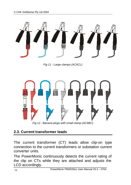

*Fig 11 - Large clamps (AC6CL)*



## **2.3. Current transformer leads**

The current transformer (CT) leads allow clip-on type connection to the current transformers or substation current converter units.

The PowerMonic continuously detects the current rating of the clip on CTs while they are attached and adjusts the LCD accordingly.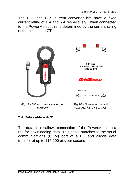The CK1 and CK5 current converter kits have a fixed current rating of 1 A and 5 A respectively. When connected to the PowerMonic, this is determined by the current rating of the connected CT.



*Fig 13 - 500 A current transformer (CR500)*



*Fig 14 – Substation current converter kit (CK1 or CK5)*

## **2.4. Data cable – RC2**

The data cable allows connection of the PowerMonic to a PC for downloading data. This cable attaches to the serial communications (COM) port of a PC and allows data transfer at up to 115,200 bits per second.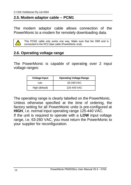## **2.5. Modem adaptor cable – PCM1**

The modem adaptor cable allows connection of the PowerMonic to a modem for remotely downloading data.



This PCM1 cable only works one way. Make sure that the DB9 end is connected to the RC2 data cable (PowerMonic end).

## **2.6. Operating voltage range**

The PowerMonic is capable of operating over 2 input voltage ranges:

| <b>Voltage Input</b> | <b>Operating Voltage Range</b> |
|----------------------|--------------------------------|
| l ow                 | 63-260 VAC                     |
| High (default)       | 125-440 VAC                    |

The operating range is clearly labelled on the PowerMonic. Unless otherwise specified at the time of ordering, the factory setting for all PowerMonic units is pre-configured at **HIGH**, i.e. normal input operating range 125-440 VAC. If the unit is required to operate with a **LOW** input voltage range, i.e. 63-260 VAC, you must return the PowerMonic to your supplier for reconfiguration.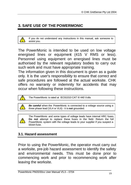## **3. SAFE USE OF THE POWERMONIC**

If you do not understand any instructions in this manual, ask someone to assist you.

The PowerMonic is intended to be used on low voltage energised lines or equipment (415 V RMS or less). Personnel using equipment on energised lines must be authorised by the relevant regulatory bodies to carry out such work and must have appropriate training.

The information given in this document is given as a guide only. It is the user's responsibility to ensure that correct and safe procedures are followed at the actual worksite. CHK offers no warranty or indemnity for accidents that may occur when following these instructions.



*Be careful* when the PowerMonic is connected to a voltage source using a three phase lead (VL4 or VL6) - it is **not** grounded.

The PowerMonic and some types of voltage leads have internal HRC fuses. **Do not** attempt to replace these fuses in the field. Return the full PowerMonic system with the voltage leads to your supplier if you suspect a blown fuse.

## **3.1. Hazard assessment**

Prior to using the PowerMonic, the operator must carry out a worksite, pre-job hazard assessment to identify the safety and environmental needs. This must be done prior to commencing work and prior to recommencing work after leaving the worksite.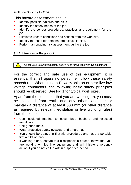## This hazard assessment should:

- Identify possible hazards and risks.
- Identify the safety needs of the job.
- Identify the correct procedures, practices and equipment for the job.
- Eliminate unsafe conditions and actions from the worksite.
- Identify the need for personal protective clothing.
- Perform an ongoing risk assessment during the job.

#### **3.1.1. Live low voltage work**

Check your relevant regulatory body's rules for working with live equipment.

For the correct and safe use of this equipment, it is essential that all operating personnel follow these safety procedures. When using a PowerMonic on or near live low voltage conductors, the following basic safety principles should be observed. See Fig 1 for typical work sites.

Apart from the conductor that you are working on, you must be insulated from earth and any other conductor or maintain a distance of at least 500 mm (or other distance as required by relevant legislation or live working rules) from those points.

- Use insulated matting to cover bare busbars and exposed metalwork.
- Use ground mats.
- Wear protective safety eyewear and a hard hat.
- You should be trained in first aid procedures and have a portable first aid kit on hand.
- If working alone, ensure that a responsible person knows that you are working on live line equipment and will initiate emergency action if you do not call in within a specified period.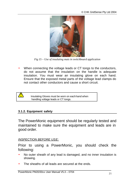

*Fig 15 – Use of insulating mats in switchboard application*

When connecting the voltage leads or CT tongs to the conductors, do not assume that the insulation on the handle is adequate insulation. You must wear an insulating glove on each hand. Ensure that the exposed metal parts of the voltage lead clamps do not contact other conductors and cause a short circuit.



#### **3.1.2. Equipment safety**

The PowerMonic equipment should be regularly tested and maintained to make sure the equipment and leads are in good order.

#### *INSPECTION BEFORE USE:*

Prior to using a PowerMonic, you should check the following:

- No outer sheath of any lead is damaged, and no inner insulation is showing.
- The sheaths of all leads are secured at the ends.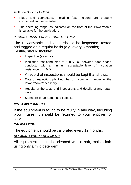- Plugs and connectors, including fuse holders are properly connected and serviceable.
- The operating range, as indicated on the front of the PowerMonic, is suitable for the application.

#### *PERIODIC MAINTENANCE AND TESTING:*

The PowerMonic and leads should be inspected, tested and tagged on a regular basis (e.g. every 3 months). Testing should include:

- Inspection (as above).
- Insulation test conducted at 500 V DC between each phase conductor with a minimum acceptable level of insulation resistance of 1 MΩ.
- A record of inspections should be kept that shows:
- Date of inspection, plant number or inspection number for the PowerMonic/accessory.
- Results of the tests and inspections and details of any repair work.
- Signature of an authorised inspector.

#### *EQUIPMENT FAULTS***:**

If the equipment is found to be faulty in any way, including blown fuses, it should be returned to your supplier for service.

#### *CALIBRATION:*

The equipment should be calibrated every 12 months.

#### *CLEANING YOUR EQUIPMENT:*

All equipment should be cleaned with a soft, moist cloth using only a mild detergent.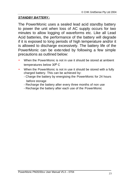#### *STANDBY BATTERY:*

The PowerMonic uses a sealed lead acid standby battery to power the unit when loss of AC supply occurs for two minutes to allow logging of waveforms etc. Like all Lead Acid batteries, the performance of the battery will degrade if it is exposed to long periods of high temperature and/or it is allowed to discharge excessively. The battery life of the PowerMonic can be extended by following a few simple precautions as outlined below:

- When the PowerMonic is not in use it should be stored at ambient temperatures below  $30^{\circ}$  C
- When the PowerMonic is not in use it should be stored with a fully charged battery. This can be achieved by:
	- Charge the battery by energising the PowerMonic for 24 hours before storage
	- Recharge the battery after every three months of non use
	- Recharge the battery after each use of the PowerMonic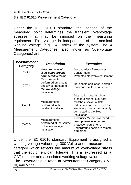## **3.2. IEC 61010 Measurement Category**

Under the IEC 61010 standard, the location of the measured point determines the transient overvoltage stresses that may be imposed on the measuring equipment. This voltage is independent of the nominal working voltage (e.g. 240 volts) of the system The 4 Measurement Categories (also known as Overvoltage Categories) are:

| <i><b>Measurement</b></i><br>Category | <b>Description</b>                                                                                | <b>Examples</b>                                                                                                                                                                                     |
|---------------------------------------|---------------------------------------------------------------------------------------------------|-----------------------------------------------------------------------------------------------------------------------------------------------------------------------------------------------------|
| CAT <sub>I</sub>                      | Measurements of<br>circuits not directly<br>connected to Mains                                    | Secondaries of low power<br>transformers,<br>Protected electronic equipment,                                                                                                                        |
| CAT II                                | Measurements<br>performed on circuits<br>directly connected to<br>the low voltage<br>installation | Household appliance, portable<br>tools and similar equipment                                                                                                                                        |
| CAT III                               | <b>Measurements</b><br>performed in the<br>building installation                                  | Distribution boards, circuit<br>breakers, wiring, bus-bars,<br>switches, socket outlets,<br>industrial equipment such as<br>stationary motors permanently<br>connected to the fixed<br>installation |
| CAT IV                                | <b>Measurements</b><br>performed at the source<br>of the low voltage<br>installation              | Electricity Meters, overhead<br>lines, primary overcurrent<br>protection equipment,<br>underground cables to remote<br>equipment                                                                    |

Under the IEC 61010 standard, Equipment is assigned a working voltage value (e.g. 300 Volts) and a measurement category which reflects the amount of overvoltage stress that the equipment can tolerate. This is expressed as a CAT number and associated working voltage value. The PowerMonic is rated at Measurement Category CAT

III, 440 Volts.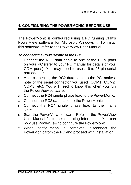## **4. CONFIGURING THE POWERMONIC BEFORE USE**

The PowerMonic is configured using a PC running CHK's PowerView software for Microsoft Windows™. To install this software, refer to the PowerView User Manual.

## *To connect the PowerMonic to the PC:*

- **1.** Connect the RC2 data cable to one of the COM ports on your PC (refer to your PC manual for details of your COM ports). You may need to use a 9-to-25 pin serial port adapter.
- **2.** After connecting the RC2 data cable to the PC, make a note of the serial connector you used (COM1, COM2, COM3, etc). You will need to know this when you run the PowerView software.
- **3.** Connect the PC4 single phase lead to the PowerMonic.
- **4.** Connect the RC2 data cable to the PowerMonic.
- **5.** Connect the PC4 single phase lead to the mains socket.
- **6.** Start the PowerView software. Refer to the PowerView User Manual for further operating information. You can now use PowerView to configure the PowerMonic.
- **7.** When configuration is complete, disconnect the PowerMonic from the PC and proceed with installation.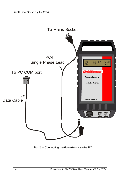

*Fig 16 – Connecting the PowerMonic to the PC*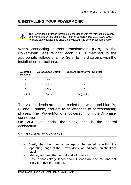## **5. INSTALLING YOUR POWERMONIC**

The PowerMonic must be installed in accordance with the relevant legislation and workplace OH&S guidelines. Refer to section *3. SAfe use of the PowerMonic* for basic safety advice that should be followed if no other procedures apply.

When connecting current transformers (CTs) to the PowerMonic, ensure that each CT is matched to the appropriate voltage channel (refer to the diagrams with the installation instructions).

| <b>Australia</b><br><b>Phase ID</b> | <b>Voltage Lead Colour</b> | <b>Current Transformer Channel</b> |
|-------------------------------------|----------------------------|------------------------------------|
| А                                   | Red                        |                                    |
| в                                   | White                      |                                    |
| C                                   | <b>Blue</b>                | r.                                 |
| <b>Neutral</b>                      | <b>Black</b>               | N (Neutral)                        |

The voltage leads are colour-coded red, white and blue (A, B, and C phase) and are to be attached to corresponding phases. The PowerMonic is powered from the A phase connection.

On VL4 type leads, the black lead is the neutral connection.

#### **5.1. Pre-installation checks**

- Verify that the nominal voltage to be tested is within the operating range of the PowerMonic as indicated on the front label.
- Identify and test the neutral and all phases.
- Ensure that voltage leads and CT leads are secured and not likely to move or dislodge.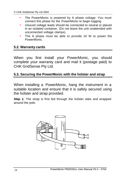- The PowerMonic is powered by A phase voltage. You must connect this phase for the PowerMonic to begin logging.
- Unused voltage leads should be connected to neutral or placed in an isolated container. (Do not leave the unit unattended with unconnected voltage clamps).
- The A phase must be able to provide 10 W to power the PowerMonic.

## **5.2. Warranty cards**

When you first install your PowerMonic, you should complete your warranty card and mail it (postage paid) to CHK GridSense Pty Ltd.

## **5.3. Securing the PowerMonic with the holster and strap**

When installing a PowerMonic, hang the instrument in a suitable location and ensure that it is safely secured using the holster and strap provided.

**Step 1.** The strap is first fed through the holster slats and wrapped around the pole.

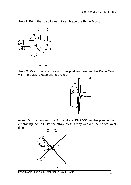**Step 2.** Bring the strap forward to embrace the PowerMonic.



**Step 3.** Wrap the strap around the post and secure the PowerMonic with the quick release clip at the rear.



*Note: Do not* connect the PowerMonic PM20/30 to the pole without embracing the unit with the strap, as this may weaken the holster over time.

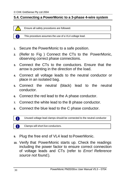## **5.4. Connecting a PowerMonic to a 3-phase 4-wire system**

Ensure all safety procedures are followed.

A

This procedure assumes the use of a VL4 voltage lead.

- **1.** Secure the PowerMonic to a safe position.
- **2.** (Refer to Fig ) Connect the CTs to the PowerMonic, observing correct phase connections.
- **3.** Connect the CTs to the conductors. Ensure that the arrow is pointing in the direction of the load.
- **4.** Connect all voltage leads to the neutral conductor or place in an isolated bag.
- **5.** Connect the neutral (black) lead to the neutral conductor.
- **6.** Connect the red lead to the A phase conductor.
- **7.** Connect the white lead to the B phase conductor.
- **8.** Connect the blue lead to the C phase conductor.

Unused voltage lead clamps should be connected to the neutral conductor

Clamps will short live conductors.

- **9.** Plug the free end of VL4 lead to PowerMonic.
- **10.** Verify that PowerMonic starts up. Check the readings including the power factor to ensure correct connection of voltage leads and CTs (refer to *Error! Reference source not found.*).

A

A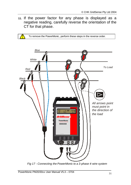**11.** If the power factor for any phase is displayed as a negative reading, carefully reverse the orientation of the CT for that phase.

To remove the PowerMonic, perform these steps in the reverse order.



*Fig 17 - Connecting the PowerMonic to a 3-phase 4-wire system*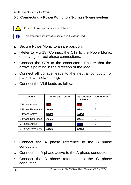## **5.5. Connecting a PowerMonic to a 3-phase 3-wire system**

Ensure all safety procedures are followed.

A

This procedure assumes the use of a VL6 voltage lead.

- **1.** Secure PowerMonic to a safe position.
- **2.** (Refer to Fig 18) Connect the CTs to the PowerMonic, observing correct phase connections.
- **3.** Connect the CTs to the conductors. Ensure that the arrow is pointing in the direction of the load.
- **4.** Connect all voltage leads to the neutral conductor or place in an isolated bag.
- **5.** Connect the VL6 leads as follows:

| <b>Lead ID</b>           | <b>VL6 Lead Colour</b> | <b>Fuseholder</b><br><b>Colour</b> | Conductor |
|--------------------------|------------------------|------------------------------------|-----------|
| A Phase Active           | <b>Red</b>             | Red                                | A         |
| A Phase Reference        | <b>Black</b>           | <b>Black</b>                       | В         |
| <b>B</b> Phase Active    | White                  | White                              | В         |
| <b>B Phase Reference</b> | <b>Black</b>           | Black                              | C         |
| C Phase Active           | <b>Blue</b>            | <b>Blue</b>                        | С         |
| C Phase Reference        | <b>Black</b>           | Black                              | A         |

- **6.** Connect the A phase reference to the B phase conductor.
- **7.** Connect the A phase active to the A phase conductor.
- **8.** Connect the B phase reference to the C phase conductor.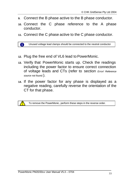- **9.** Connect the B phase active to the B phase conductor.
- **10.** Connect the C phase reference to the A phase conductor.
- **11.** Connect the C phase active to the C phase conductor.

A Unused voltage lead clamps should be connected to the neutral conductor

- **12.** Plug the free end of VL6 lead to PowerMonic.
- **13.** Verify that PowerMonic starts up. Check the readings including the power factor to ensure correct connection of voltage leads and CTs (refer to section *Error! Reference source not found.*).
- **14.** If the power factor for any phase is displayed as a negative reading, carefully reverse the orientation of the CT for that phase.

To remove the PowerMonic, perform these steps in the reverse order.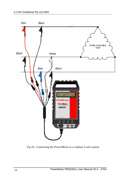

*Fig 18 - Connecting the PowerMonic to a 3-phase 3-wire system*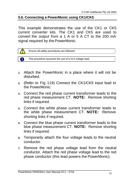## **5.6. Connecting a PowerMonic using CK1/CK5**

This example demonstrates the use of the CK1 or CK5 current converter kits. The CK1 and CK5 are used to convert the output from a 1 A or 5 A CT to the 200 mA signal required by the PowerMonic.



A This procedure assumes the use of a VL4 voltage lead.

- **1.** Attach the PowerMonic in a place where it will not be disturbed.
- **2.** (Refer to Fig 119) Connect the CK1/CK5 input lead to the PowerMonic.
- **3.** Connect the red phase current transformer leads to the red phase measurement CT. **NOTE:** Remove shorting links if required.
- **4.** Connect the white phase current transformer leads to the white phase measurement CT. **NOTE:** Remove shorting links if required.
- **5.** Connect the blue phase current transformer leads to the blue phase measurement CT. **NOTE:** Remove shorting links if required.
- **6.** Temporarily attach the four voltage leads to the neutral conductor.
- **7.** Remove the red phase voltage lead from the neutral conductor. Attach the red phase voltage lead to the red phase conductor (this lead powers the PowerMonic).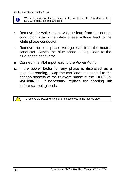When the power on the red phase is first applied to the PowerMonic, the A LCD will display the date and time.

- **8.** Remove the white phase voltage lead from the neutral conductor. Attach the white phase voltage lead to the white phase conductor.
- **9.** Remove the blue phase voltage lead from the neutral conductor. Attach the blue phase voltage lead to the blue phase conductor.
- **10.** Connect the VL4 input lead to the PowerMonic.
- **11.** If the power factor for any phase is displayed as a negative reading, swap the two leads connected to the banana sockets of the relevant phase of the CK1/CK5. **WARNING:** If necessary, replace the shorting link before swapping leads.



To remove the PowerMonic, perform these steps in the reverse order.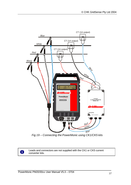

*Fig 19 – Connecting the PowerMonic using CK1/CK5 kits*

Leads and connectors are not supplied with the CK1 or CK5 current converter kits.

6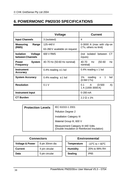## **6. POWERMONIC PM20/30 SPECIFICATIONS**

|                                                 | Voltage                       | <b>Current</b>                                         |
|-------------------------------------------------|-------------------------------|--------------------------------------------------------|
| <b>Input Channels</b>                           | 3 (isolated)                  | 4                                                      |
| <b>Measuring</b><br>Range                       | 125-440 V                     | 0-3000 A (max with clip-on<br>CTs, others no limit)    |
| (RMS)                                           | 63-260 V available on request |                                                        |
| <b>Isolation</b><br>Voltage<br>between Channels | 600 V RMS                     | (not isolated between<br>СT<br>inputs)                 |
| <b>System</b><br><b>Power</b><br>Frequency      | 40-70 Hz (50-60 Hz nominal)   | Hz<br>40-70<br>Hz<br>$(50 - 60)$<br>nominal)           |
| Instrument<br>Accuracy                          | 0.4% reading $\pm$ 1 lsd      | 0.4% reading $\pm$ 1 lsd                               |
| <b>System Accuracy</b>                          | 0.4% reading $\pm$ 1 lsd      | 1% reading<br>1<br>Isd<br>$\pm$<br>(0.5M CTs)          |
| <b>Resolution</b>                               | 0.1V                          | $0.1 \qquad A$<br>$(0-500)$<br>A)<br>1 A (1000-3000 A) |
| <b>Instrument Input</b>                         |                               | $0 - 200$ mA                                           |
| <b>CT Burden</b>                                |                               | $2.2 \Omega \pm 1\%$                                   |

| <b>Protection Levels</b> | IEC 61010-1 2001                                                                   |
|--------------------------|------------------------------------------------------------------------------------|
|                          | Pollution Degree 2                                                                 |
|                          | <b>Installation Category III</b>                                                   |
|                          | Material Group III, 600 V                                                          |
|                          | Measurement Category III 440 Volts<br>(Double Insulation or Reinforced Insulation) |

| <b>Connectors</b>                            |                |  | <b>Environmental</b> |                                      |  |
|----------------------------------------------|----------------|--|----------------------|--------------------------------------|--|
| <b>Voltage &amp; Power</b><br>8 pin 30mm dia |                |  | <b>Temperature</b>   | $-10^{\circ}$ C to + 60 $^{\circ}$ C |  |
| <b>Current</b>                               | 4 pin circular |  | <b>Humidity</b>      | 20% to 99% RH                        |  |
| Data                                         | 5 pin circular |  | <b>Sealing</b>       | IP65                                 |  |

| Connectors |                | <b>Environmental</b> |                                                       |  |
|------------|----------------|----------------------|-------------------------------------------------------|--|
| ower       | 8 pin 30mm dia | <b>Temperature</b>   | -10 $\mathrm{^{\circ}C}$ to + 60 $\mathrm{^{\circ}C}$ |  |
|            | 4 pin circular | <b>Humidity</b>      | 20% to 99% RH                                         |  |
|            | 5 pin circular | <b>Sealing</b>       | IP <sub>65</sub>                                      |  |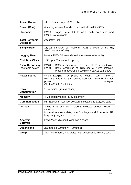| <b>Power Factor</b>                          | +1 to -1, Accuracy $\pm$ 0.01 $\pm$ 1 lsd                                                                                                                              |  |  |  |
|----------------------------------------------|------------------------------------------------------------------------------------------------------------------------------------------------------------------------|--|--|--|
| Power (Real)                                 | Accuracy approx. 2% when used with class 0.5 M CTs                                                                                                                     |  |  |  |
| <b>Harmonics</b>                             | PM30: Logging from 1st to 48th, both even and odd<br>PM20: Not Available                                                                                               |  |  |  |
| <b>Total Harmonic</b><br><b>Distortion</b>   | Accuracy $\pm 2\%$                                                                                                                                                     |  |  |  |
| Sample Rate                                  | 11,413 samples per second (>228 / cycle at 50 Hz,<br>$>190$ / cycle at 60 Hz)                                                                                          |  |  |  |
| <b>Logging Rate</b>                          | Normal RMS: 30 seconds to 4 hours (user selectable)                                                                                                                    |  |  |  |
| <b>Real Time Clock</b>                       | $\pm$ 50 ppm (2 min/month approx)                                                                                                                                      |  |  |  |
| <b>Event Re cording</b><br>(see table below) | <b>PM20:</b><br>RMS recording of 13.6 sec at 10 ms intervals<br>RMS recordings of 13.6 sec at 10ms intervals<br>PM30:<br>Waveform recordings 120 ms @ 11,413 samples/s |  |  |  |
| <b>Power Source</b>                          | Logging - A phase to Neutral, 125 - 440 V<br>When<br>Rechargeable 6 V 0.5 Ah sealed lead acid battery backup for<br>power<br>outages<br>$Clock - ½ AA$ , $3 V Lithium$ |  |  |  |
|                                              |                                                                                                                                                                        |  |  |  |
| <b>Power</b><br><b>Consumption</b>           | 10 W typical (from A phase)                                                                                                                                            |  |  |  |
| <b>Memory</b>                                | 4 Mb of non-volatile FLASH memory                                                                                                                                      |  |  |  |
| Communication                                | RS-232 serial interface, software selectable to 115,200 baud                                                                                                           |  |  |  |
| <b>Display</b>                               | 2 line x 16 character, scrolling selected screens every 2<br>seconds<br>Information shown: date, time, 3 voltages and 4 currents, PF,<br>frequency, log status, errors |  |  |  |
| <b>Analysis</b><br><b>Software</b>           | PowerView Microsoft Windows <sup>™</sup> -based                                                                                                                        |  |  |  |
| <b>Dimensions</b>                            | 230mm(l) x 120mm(w) x 90mm(d)                                                                                                                                          |  |  |  |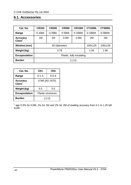## **6.1. Accessories**

| Cat. No.                                   | <b>CR100</b>              | <b>CR200</b> | <b>CR500</b> | <b>CR1000</b> | <b>CT1000L</b> | <b>CT3000L</b> |
|--------------------------------------------|---------------------------|--------------|--------------|---------------|----------------|----------------|
| Range                                      | $0 - 100A$                | $0 - 200A$   | $0 - 500A$   | $0 - 1000A$   | $0 - 1000A$    | $0 - 3000A$    |
| <b>Accuracy</b><br>$\mathbf C$ lass ${}^1$ | 1M                        | 1M           | 0.5M         | 0.5M          | 2M             | 2M             |
| Window (mm)                                | 50 (diameter)             |              |              |               | 100x125        | 100x128        |
| Weight (kg)                                | 0.78<br>1.05<br>1.90      |              |              |               |                |                |
| <b>Encapsulation</b>                       | Plastic, fully insulating |              |              |               |                |                |
| <b>Burden</b>                              | $2.2 \Omega$              |              |              |               |                |                |

| Cat. No.                       | CK1<br>CK5        |  |
|--------------------------------|-------------------|--|
| Range                          | 0-1 A<br>$0-5A$   |  |
| Accuracy<br>Class <sup>1</sup> | 0.5M (AS 1675)    |  |
| Weight (kg)                    | 5.5<br>5.5        |  |
| <b>Encapsulation</b>           | Plastic enclosure |  |
| <b>Burden</b>                  | $2.2 \Omega$      |  |

 $1$  app 0.5% for 0.5M, 1% for 1M and 2% for 2M of reading accuracy from 0.1 to 1.25 full scale.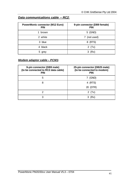## *Data communications cable – RC2:*

| <b>PowerMonic connector (M12 Euro)</b><br><b>PIN</b> | 9-pin connector (DB9 female)<br><b>PIN</b> |
|------------------------------------------------------|--------------------------------------------|
| 1 brown                                              | 5 (GND)                                    |
| 2 white                                              | 7 (not used)                               |
| 3 blue                                               | 8 (RTS)                                    |
| 4 black                                              | 2 $(Tx)$                                   |
| 5 grey                                               | (Rx)                                       |

#### *Modem adaptor cable – PCM1***:**

| 9-pin connector (DB9 male)<br>(to be connected to RC2 data cable)<br><b>PIN</b> | 25-pin connector (DB25 male)<br>(to be connected to modem)<br><b>PIN</b> |  |
|---------------------------------------------------------------------------------|--------------------------------------------------------------------------|--|
| 5                                                                               | (GND)                                                                    |  |
| 8                                                                               | 4 (RTS)                                                                  |  |
|                                                                                 | 20 (DTR)                                                                 |  |
|                                                                                 | (1x)                                                                     |  |
| 3                                                                               |                                                                          |  |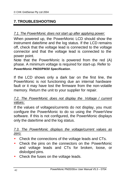## **7. TROUBLESHOOTING**

#### *7.1. The PowerMonic does not start up after applying power:*

When powered up, the PowerMonic LCD should show the instrument date/time and the log status. If the LCD remains off, check that the voltage lead is connected to the voltage connector and that the voltage lead is connected to the power point.

Note that the PowerMonic is powered from the red (A) phase. A minimum voltage is required for start-up. Refer to *PowerMonic PM20/PM30 Specification*.

If the LCD shows only a dark bar on the first line, the PowerMonic is not functioning due an internal hardware fault or it may have lost the firmware from the non-volatile memory. Return the unit to your supplier for repair.

#### *7.2. The PowerMonic does not display the Voltage / current values:*

If the values of voltages/currents do not display, you must configure the PowerMonic to do so using the PowerView software. If this is not configured, the PowerMonic displays only the date/time and the log status.

## *7.3. The PowerMonic displays the voltage/current values as zero:*

- Check the connections of the voltage leads and CTs.
- Check the pins on the connectors on the PowerMonic and voltage leads and CTs for broken, loose, or dislodged pins.
- Check the fuses on the voltage leads.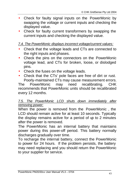- Check for faulty signal inputs on the PowerMonic by swapping the voltage or current inputs and checking the displayed value.
- Check for faulty current transformers by swapping the current inputs and checking the displayed value.

## *7.4. The PowerMonic displays incorrect voltage/current values:*

- Check that the voltage leads and CTs are connected to the right inputs and phases.
- Check the pins on the connectors on the PowerMonic voltage lead, and CTs for broken, loose, or dislodged pins.
- Check the fuses on the voltage leads.
- Check that the CTs' pole faces are free of dirt or rust. Poorly-maintained CTs may cause measurement errors.

The PowerMonic may need recalibrating. CHK recommends that PowerMonic units should be recalibrated every 12 months.

## *7.5. The PowerMonic LCD shuts down immediately after removing power:*

When the power is removed from the PowerMonic , the LCD should remain active for at least 10 seconds. Typically the display remains active for a period of up to 2 minutes after the power is removed.

The PowerMonic has an internal battery that maintains power during this power-off period. This battery normally discharges gradually over time.

To recharge the internal battery, connect the PowerMonic to power for 24 hours. If the problem persists, the battery may need replacing and you should return the PowerMonic to your supplier for service.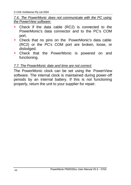## *7.6. The PowerMonic does not communicate with the PC using the PowerView software:*

- Check if the data cable (RC2) is connected to the PowerMonic's data connector and to the PC's COM port.
- Check that no pins on the PowerMonic's data cable (RC2) or the PC's COM port are broken, loose, or dislodged.
- Check that the PowerMonic is powered on and functioning.

## *7.7. The PowerMonic date and time are not correct:*

The PowerMonic clock can be set using the PowerView software. The internal clock is maintained during power-off periods by an internal battery. If this is not functioning properly, return the unit to your supplier for repair.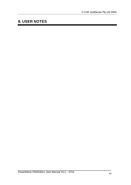## **8. USER NOTES**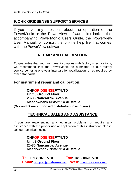## **9. CHK GRIDSENSE SUPPORT SERVICES**

If you have any questions about the operation of the PowerMonic or the PowerView software, first look in the accompanying PowerMonic Users Guide, the PowerView User Manual, or consult the on-line help file that comes with the PowerView software.

## **REPAIR AND CALIBRATION**

To guarantee that your instrument complies with factory specifications, we recommend that the PowerMonic be submitted to our factory service center at one-year intervals for recalibration, or as required by other standards.

## **For instrument repair and calibration:**

#### **CHKGRIDSENSEPTYLTD Unit 3 Ground Floor 20-36 Nancarrow Avenue Meadowbank NSW2114 Australia (Or contact our authorised distributor close to you.)**

## **TECHNICAL SALES AND ASSISTANCE**

If you are experiencing any technical problems, or require any assistance with the proper use or application of this instrument, please call our technical hotline:

#### **CHKGRIDSENSEPTYLTD Unit 3 Ground Floor 20-36 Nancarrow Avenue Meadowbank NSW2114 Australia**

**Tel: +61 2 8878 7700 Fax: +61 2 8878 7788 Email:** support@gridsense.net **Web:** www.gridsense.net